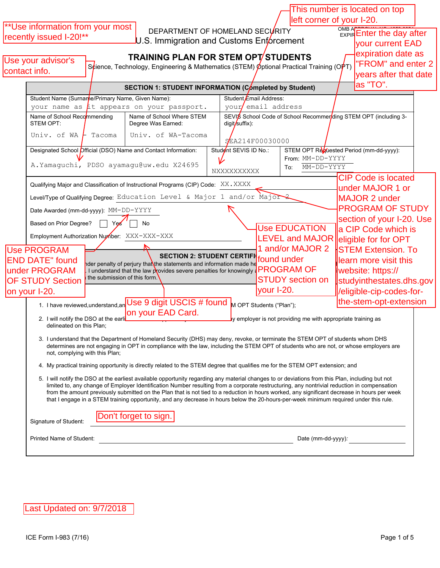| left corner of your I-20.<br>** Use information from your most<br>OMB ARROW 100 100 2000<br>DEPARTMENT OF HOMELAND SECURITY<br>recently issued I-20!**<br>U.S. Immigration and Customs Enforcement<br>your current EAD<br>expiration date as<br><b>TRAINING PLAN FOR STEM OPT STUDENTS</b><br>Use your advisor's<br>"FROM" and enter 2<br>S¢ience, Technology, Engineering & Mathematics (STEM) Øptional Practical Training (OPT)<br>contact info.<br>vears after that date<br>as "TO".<br>SECTION 1: STUDENT INFORMATION (Completed by Student)<br>Student Name (Surnanne/Primary Name, Given Name):<br>Student Email Address:<br>your email address<br>your name as $\mu$ t appears on your passport.<br>SEVIS School Code of School Recommer ding STEM OPT (including 3-<br>Name of School Recommending<br>Name of School Where STEM<br>STEM OPT:<br>Degree Was Earned:<br>digit/suffix):<br>Univ. of WA-Tacoma<br>Univ. of WA<br><b>F</b> Tacoma<br>SEA214F00030000<br>Designated School Official (DSO) Name and Contact Information:<br>STEM OPT Revuested Period (mm-dd-yyyy):<br>Student SEVIS ID No.:<br>From: MM-DD-YYYY<br>A. Yamaguchi, PDSO ayamagu@uw.edu X24695<br>MM-DD-YYYY<br>To:<br>NXXXXXXXXXX<br><b>CIP Code is located</b><br>Qualifying Major and Classification of Instructional Programs (CIP) Code: XX. XXXX<br>under MAJOR 1 or<br>Level/Type of Qualifying Degree: Education Level & Major 1 and/or Major 2<br><b>MAJOR 2 under</b><br><b>PROGRAM OF STUDY</b><br>Date Awarded (mm-dd-yyyy): MM-DD-YYYY<br>section of your I-20. Use<br>Based on Prior Degree?<br>Ye<br>No<br><b>Use EDUCATION</b><br>a CIP Code which is<br>Employment Authorization Number: XXX-XXX-XXX<br>LEVEL and MAJOR eligible for for OPT<br>1 and/or MAJOR 2<br><b>Use PROGRAM</b><br><b>STEM Extension. To</b><br>SECTION 2: STUDENT CERTIFI found under<br><b>END DATE"</b> found<br>llearn more visit this<br>nder penalty of perjury that the statements and information made he<br><b>PROGRAM OF</b><br>under PROGRAM<br>website: https://<br>I understand that the law provides severe penalties for knowingly a<br>the submission of this form.<br><b>STUDY</b> section on<br><b>OF STUDY Section</b><br>studyinthestates.dhs.gov<br>your I-20.<br>/eligible-cip-codes-for-<br>on your I-20.<br>Use 9 digit USCIS # found<br>the-stem-opt-extension<br>1. I have reviewed, understand, an<br>M OPT Students ("Plan");<br>on your EAD Card.<br>2. I will notify the DSO at the earli<br>ly employer is not providing me with appropriate training as<br>delineated on this Plan;<br>3. I understand that the Department of Homeland Security (DHS) may deny, revoke, or terminate the STEM OPT of students whom DHS<br>determines are not engaging in OPT in compliance with the law, including the STEM OPT of students who are not, or whose employers are<br>not, complying with this Plan;<br>4. My practical training opportunity is directly related to the STEM degree that qualifies me for the STEM OPT extension; and<br>5. I will notify the DSO at the earliest available opportunity regarding any material changes to or deviations from this Plan, including but not<br>limited to, any change of Employer Identification Number resulting from a corporate restructuring, any nontrivial reduction in compensation<br>from the amount previously submitted on the Plan that is not tied to a reduction in hours worked, any significant decrease in hours per week<br>that I engage in a STEM training opportunity, and any decrease in hours below the 20-hours-per-week minimum required under this rule.<br>Don't forget to sign.<br>Signature of Student:<br>Printed Name of Student:<br>Date (mm-dd-yyyy): |  |  |  |  |  |  |  |  | This number is located on top |  |
|-------------------------------------------------------------------------------------------------------------------------------------------------------------------------------------------------------------------------------------------------------------------------------------------------------------------------------------------------------------------------------------------------------------------------------------------------------------------------------------------------------------------------------------------------------------------------------------------------------------------------------------------------------------------------------------------------------------------------------------------------------------------------------------------------------------------------------------------------------------------------------------------------------------------------------------------------------------------------------------------------------------------------------------------------------------------------------------------------------------------------------------------------------------------------------------------------------------------------------------------------------------------------------------------------------------------------------------------------------------------------------------------------------------------------------------------------------------------------------------------------------------------------------------------------------------------------------------------------------------------------------------------------------------------------------------------------------------------------------------------------------------------------------------------------------------------------------------------------------------------------------------------------------------------------------------------------------------------------------------------------------------------------------------------------------------------------------------------------------------------------------------------------------------------------------------------------------------------------------------------------------------------------------------------------------------------------------------------------------------------------------------------------------------------------------------------------------------------------------------------------------------------------------------------------------------------------------------------------------------------------------------------------------------------------------------------------------------------------------------------------------------------------------------------------------------------------------------------------------------------------------------------------------------------------------------------------------------------------------------------------------------------------------------------------------------------------------------------------------------------------------------------------------------------------------------------------------------------------------------------------------------------------------------------------------------------------------------------------------------------------------------------------------------------------------------------------------------------------------------------------------------------------------------------------------------------------------------------------------------------------------------------------------------------------------------------------------------------------------------------|--|--|--|--|--|--|--|--|-------------------------------|--|
|                                                                                                                                                                                                                                                                                                                                                                                                                                                                                                                                                                                                                                                                                                                                                                                                                                                                                                                                                                                                                                                                                                                                                                                                                                                                                                                                                                                                                                                                                                                                                                                                                                                                                                                                                                                                                                                                                                                                                                                                                                                                                                                                                                                                                                                                                                                                                                                                                                                                                                                                                                                                                                                                                                                                                                                                                                                                                                                                                                                                                                                                                                                                                                                                                                                                                                                                                                                                                                                                                                                                                                                                                                                                                                                                           |  |  |  |  |  |  |  |  |                               |  |
|                                                                                                                                                                                                                                                                                                                                                                                                                                                                                                                                                                                                                                                                                                                                                                                                                                                                                                                                                                                                                                                                                                                                                                                                                                                                                                                                                                                                                                                                                                                                                                                                                                                                                                                                                                                                                                                                                                                                                                                                                                                                                                                                                                                                                                                                                                                                                                                                                                                                                                                                                                                                                                                                                                                                                                                                                                                                                                                                                                                                                                                                                                                                                                                                                                                                                                                                                                                                                                                                                                                                                                                                                                                                                                                                           |  |  |  |  |  |  |  |  |                               |  |
|                                                                                                                                                                                                                                                                                                                                                                                                                                                                                                                                                                                                                                                                                                                                                                                                                                                                                                                                                                                                                                                                                                                                                                                                                                                                                                                                                                                                                                                                                                                                                                                                                                                                                                                                                                                                                                                                                                                                                                                                                                                                                                                                                                                                                                                                                                                                                                                                                                                                                                                                                                                                                                                                                                                                                                                                                                                                                                                                                                                                                                                                                                                                                                                                                                                                                                                                                                                                                                                                                                                                                                                                                                                                                                                                           |  |  |  |  |  |  |  |  |                               |  |
|                                                                                                                                                                                                                                                                                                                                                                                                                                                                                                                                                                                                                                                                                                                                                                                                                                                                                                                                                                                                                                                                                                                                                                                                                                                                                                                                                                                                                                                                                                                                                                                                                                                                                                                                                                                                                                                                                                                                                                                                                                                                                                                                                                                                                                                                                                                                                                                                                                                                                                                                                                                                                                                                                                                                                                                                                                                                                                                                                                                                                                                                                                                                                                                                                                                                                                                                                                                                                                                                                                                                                                                                                                                                                                                                           |  |  |  |  |  |  |  |  |                               |  |
|                                                                                                                                                                                                                                                                                                                                                                                                                                                                                                                                                                                                                                                                                                                                                                                                                                                                                                                                                                                                                                                                                                                                                                                                                                                                                                                                                                                                                                                                                                                                                                                                                                                                                                                                                                                                                                                                                                                                                                                                                                                                                                                                                                                                                                                                                                                                                                                                                                                                                                                                                                                                                                                                                                                                                                                                                                                                                                                                                                                                                                                                                                                                                                                                                                                                                                                                                                                                                                                                                                                                                                                                                                                                                                                                           |  |  |  |  |  |  |  |  |                               |  |
|                                                                                                                                                                                                                                                                                                                                                                                                                                                                                                                                                                                                                                                                                                                                                                                                                                                                                                                                                                                                                                                                                                                                                                                                                                                                                                                                                                                                                                                                                                                                                                                                                                                                                                                                                                                                                                                                                                                                                                                                                                                                                                                                                                                                                                                                                                                                                                                                                                                                                                                                                                                                                                                                                                                                                                                                                                                                                                                                                                                                                                                                                                                                                                                                                                                                                                                                                                                                                                                                                                                                                                                                                                                                                                                                           |  |  |  |  |  |  |  |  |                               |  |
|                                                                                                                                                                                                                                                                                                                                                                                                                                                                                                                                                                                                                                                                                                                                                                                                                                                                                                                                                                                                                                                                                                                                                                                                                                                                                                                                                                                                                                                                                                                                                                                                                                                                                                                                                                                                                                                                                                                                                                                                                                                                                                                                                                                                                                                                                                                                                                                                                                                                                                                                                                                                                                                                                                                                                                                                                                                                                                                                                                                                                                                                                                                                                                                                                                                                                                                                                                                                                                                                                                                                                                                                                                                                                                                                           |  |  |  |  |  |  |  |  |                               |  |
|                                                                                                                                                                                                                                                                                                                                                                                                                                                                                                                                                                                                                                                                                                                                                                                                                                                                                                                                                                                                                                                                                                                                                                                                                                                                                                                                                                                                                                                                                                                                                                                                                                                                                                                                                                                                                                                                                                                                                                                                                                                                                                                                                                                                                                                                                                                                                                                                                                                                                                                                                                                                                                                                                                                                                                                                                                                                                                                                                                                                                                                                                                                                                                                                                                                                                                                                                                                                                                                                                                                                                                                                                                                                                                                                           |  |  |  |  |  |  |  |  |                               |  |
|                                                                                                                                                                                                                                                                                                                                                                                                                                                                                                                                                                                                                                                                                                                                                                                                                                                                                                                                                                                                                                                                                                                                                                                                                                                                                                                                                                                                                                                                                                                                                                                                                                                                                                                                                                                                                                                                                                                                                                                                                                                                                                                                                                                                                                                                                                                                                                                                                                                                                                                                                                                                                                                                                                                                                                                                                                                                                                                                                                                                                                                                                                                                                                                                                                                                                                                                                                                                                                                                                                                                                                                                                                                                                                                                           |  |  |  |  |  |  |  |  |                               |  |
|                                                                                                                                                                                                                                                                                                                                                                                                                                                                                                                                                                                                                                                                                                                                                                                                                                                                                                                                                                                                                                                                                                                                                                                                                                                                                                                                                                                                                                                                                                                                                                                                                                                                                                                                                                                                                                                                                                                                                                                                                                                                                                                                                                                                                                                                                                                                                                                                                                                                                                                                                                                                                                                                                                                                                                                                                                                                                                                                                                                                                                                                                                                                                                                                                                                                                                                                                                                                                                                                                                                                                                                                                                                                                                                                           |  |  |  |  |  |  |  |  |                               |  |
|                                                                                                                                                                                                                                                                                                                                                                                                                                                                                                                                                                                                                                                                                                                                                                                                                                                                                                                                                                                                                                                                                                                                                                                                                                                                                                                                                                                                                                                                                                                                                                                                                                                                                                                                                                                                                                                                                                                                                                                                                                                                                                                                                                                                                                                                                                                                                                                                                                                                                                                                                                                                                                                                                                                                                                                                                                                                                                                                                                                                                                                                                                                                                                                                                                                                                                                                                                                                                                                                                                                                                                                                                                                                                                                                           |  |  |  |  |  |  |  |  |                               |  |
|                                                                                                                                                                                                                                                                                                                                                                                                                                                                                                                                                                                                                                                                                                                                                                                                                                                                                                                                                                                                                                                                                                                                                                                                                                                                                                                                                                                                                                                                                                                                                                                                                                                                                                                                                                                                                                                                                                                                                                                                                                                                                                                                                                                                                                                                                                                                                                                                                                                                                                                                                                                                                                                                                                                                                                                                                                                                                                                                                                                                                                                                                                                                                                                                                                                                                                                                                                                                                                                                                                                                                                                                                                                                                                                                           |  |  |  |  |  |  |  |  |                               |  |
|                                                                                                                                                                                                                                                                                                                                                                                                                                                                                                                                                                                                                                                                                                                                                                                                                                                                                                                                                                                                                                                                                                                                                                                                                                                                                                                                                                                                                                                                                                                                                                                                                                                                                                                                                                                                                                                                                                                                                                                                                                                                                                                                                                                                                                                                                                                                                                                                                                                                                                                                                                                                                                                                                                                                                                                                                                                                                                                                                                                                                                                                                                                                                                                                                                                                                                                                                                                                                                                                                                                                                                                                                                                                                                                                           |  |  |  |  |  |  |  |  |                               |  |
|                                                                                                                                                                                                                                                                                                                                                                                                                                                                                                                                                                                                                                                                                                                                                                                                                                                                                                                                                                                                                                                                                                                                                                                                                                                                                                                                                                                                                                                                                                                                                                                                                                                                                                                                                                                                                                                                                                                                                                                                                                                                                                                                                                                                                                                                                                                                                                                                                                                                                                                                                                                                                                                                                                                                                                                                                                                                                                                                                                                                                                                                                                                                                                                                                                                                                                                                                                                                                                                                                                                                                                                                                                                                                                                                           |  |  |  |  |  |  |  |  |                               |  |
|                                                                                                                                                                                                                                                                                                                                                                                                                                                                                                                                                                                                                                                                                                                                                                                                                                                                                                                                                                                                                                                                                                                                                                                                                                                                                                                                                                                                                                                                                                                                                                                                                                                                                                                                                                                                                                                                                                                                                                                                                                                                                                                                                                                                                                                                                                                                                                                                                                                                                                                                                                                                                                                                                                                                                                                                                                                                                                                                                                                                                                                                                                                                                                                                                                                                                                                                                                                                                                                                                                                                                                                                                                                                                                                                           |  |  |  |  |  |  |  |  |                               |  |
|                                                                                                                                                                                                                                                                                                                                                                                                                                                                                                                                                                                                                                                                                                                                                                                                                                                                                                                                                                                                                                                                                                                                                                                                                                                                                                                                                                                                                                                                                                                                                                                                                                                                                                                                                                                                                                                                                                                                                                                                                                                                                                                                                                                                                                                                                                                                                                                                                                                                                                                                                                                                                                                                                                                                                                                                                                                                                                                                                                                                                                                                                                                                                                                                                                                                                                                                                                                                                                                                                                                                                                                                                                                                                                                                           |  |  |  |  |  |  |  |  |                               |  |
|                                                                                                                                                                                                                                                                                                                                                                                                                                                                                                                                                                                                                                                                                                                                                                                                                                                                                                                                                                                                                                                                                                                                                                                                                                                                                                                                                                                                                                                                                                                                                                                                                                                                                                                                                                                                                                                                                                                                                                                                                                                                                                                                                                                                                                                                                                                                                                                                                                                                                                                                                                                                                                                                                                                                                                                                                                                                                                                                                                                                                                                                                                                                                                                                                                                                                                                                                                                                                                                                                                                                                                                                                                                                                                                                           |  |  |  |  |  |  |  |  |                               |  |
|                                                                                                                                                                                                                                                                                                                                                                                                                                                                                                                                                                                                                                                                                                                                                                                                                                                                                                                                                                                                                                                                                                                                                                                                                                                                                                                                                                                                                                                                                                                                                                                                                                                                                                                                                                                                                                                                                                                                                                                                                                                                                                                                                                                                                                                                                                                                                                                                                                                                                                                                                                                                                                                                                                                                                                                                                                                                                                                                                                                                                                                                                                                                                                                                                                                                                                                                                                                                                                                                                                                                                                                                                                                                                                                                           |  |  |  |  |  |  |  |  |                               |  |
|                                                                                                                                                                                                                                                                                                                                                                                                                                                                                                                                                                                                                                                                                                                                                                                                                                                                                                                                                                                                                                                                                                                                                                                                                                                                                                                                                                                                                                                                                                                                                                                                                                                                                                                                                                                                                                                                                                                                                                                                                                                                                                                                                                                                                                                                                                                                                                                                                                                                                                                                                                                                                                                                                                                                                                                                                                                                                                                                                                                                                                                                                                                                                                                                                                                                                                                                                                                                                                                                                                                                                                                                                                                                                                                                           |  |  |  |  |  |  |  |  |                               |  |
|                                                                                                                                                                                                                                                                                                                                                                                                                                                                                                                                                                                                                                                                                                                                                                                                                                                                                                                                                                                                                                                                                                                                                                                                                                                                                                                                                                                                                                                                                                                                                                                                                                                                                                                                                                                                                                                                                                                                                                                                                                                                                                                                                                                                                                                                                                                                                                                                                                                                                                                                                                                                                                                                                                                                                                                                                                                                                                                                                                                                                                                                                                                                                                                                                                                                                                                                                                                                                                                                                                                                                                                                                                                                                                                                           |  |  |  |  |  |  |  |  |                               |  |
|                                                                                                                                                                                                                                                                                                                                                                                                                                                                                                                                                                                                                                                                                                                                                                                                                                                                                                                                                                                                                                                                                                                                                                                                                                                                                                                                                                                                                                                                                                                                                                                                                                                                                                                                                                                                                                                                                                                                                                                                                                                                                                                                                                                                                                                                                                                                                                                                                                                                                                                                                                                                                                                                                                                                                                                                                                                                                                                                                                                                                                                                                                                                                                                                                                                                                                                                                                                                                                                                                                                                                                                                                                                                                                                                           |  |  |  |  |  |  |  |  |                               |  |
|                                                                                                                                                                                                                                                                                                                                                                                                                                                                                                                                                                                                                                                                                                                                                                                                                                                                                                                                                                                                                                                                                                                                                                                                                                                                                                                                                                                                                                                                                                                                                                                                                                                                                                                                                                                                                                                                                                                                                                                                                                                                                                                                                                                                                                                                                                                                                                                                                                                                                                                                                                                                                                                                                                                                                                                                                                                                                                                                                                                                                                                                                                                                                                                                                                                                                                                                                                                                                                                                                                                                                                                                                                                                                                                                           |  |  |  |  |  |  |  |  |                               |  |
|                                                                                                                                                                                                                                                                                                                                                                                                                                                                                                                                                                                                                                                                                                                                                                                                                                                                                                                                                                                                                                                                                                                                                                                                                                                                                                                                                                                                                                                                                                                                                                                                                                                                                                                                                                                                                                                                                                                                                                                                                                                                                                                                                                                                                                                                                                                                                                                                                                                                                                                                                                                                                                                                                                                                                                                                                                                                                                                                                                                                                                                                                                                                                                                                                                                                                                                                                                                                                                                                                                                                                                                                                                                                                                                                           |  |  |  |  |  |  |  |  |                               |  |
|                                                                                                                                                                                                                                                                                                                                                                                                                                                                                                                                                                                                                                                                                                                                                                                                                                                                                                                                                                                                                                                                                                                                                                                                                                                                                                                                                                                                                                                                                                                                                                                                                                                                                                                                                                                                                                                                                                                                                                                                                                                                                                                                                                                                                                                                                                                                                                                                                                                                                                                                                                                                                                                                                                                                                                                                                                                                                                                                                                                                                                                                                                                                                                                                                                                                                                                                                                                                                                                                                                                                                                                                                                                                                                                                           |  |  |  |  |  |  |  |  |                               |  |
|                                                                                                                                                                                                                                                                                                                                                                                                                                                                                                                                                                                                                                                                                                                                                                                                                                                                                                                                                                                                                                                                                                                                                                                                                                                                                                                                                                                                                                                                                                                                                                                                                                                                                                                                                                                                                                                                                                                                                                                                                                                                                                                                                                                                                                                                                                                                                                                                                                                                                                                                                                                                                                                                                                                                                                                                                                                                                                                                                                                                                                                                                                                                                                                                                                                                                                                                                                                                                                                                                                                                                                                                                                                                                                                                           |  |  |  |  |  |  |  |  |                               |  |
|                                                                                                                                                                                                                                                                                                                                                                                                                                                                                                                                                                                                                                                                                                                                                                                                                                                                                                                                                                                                                                                                                                                                                                                                                                                                                                                                                                                                                                                                                                                                                                                                                                                                                                                                                                                                                                                                                                                                                                                                                                                                                                                                                                                                                                                                                                                                                                                                                                                                                                                                                                                                                                                                                                                                                                                                                                                                                                                                                                                                                                                                                                                                                                                                                                                                                                                                                                                                                                                                                                                                                                                                                                                                                                                                           |  |  |  |  |  |  |  |  |                               |  |
|                                                                                                                                                                                                                                                                                                                                                                                                                                                                                                                                                                                                                                                                                                                                                                                                                                                                                                                                                                                                                                                                                                                                                                                                                                                                                                                                                                                                                                                                                                                                                                                                                                                                                                                                                                                                                                                                                                                                                                                                                                                                                                                                                                                                                                                                                                                                                                                                                                                                                                                                                                                                                                                                                                                                                                                                                                                                                                                                                                                                                                                                                                                                                                                                                                                                                                                                                                                                                                                                                                                                                                                                                                                                                                                                           |  |  |  |  |  |  |  |  |                               |  |
|                                                                                                                                                                                                                                                                                                                                                                                                                                                                                                                                                                                                                                                                                                                                                                                                                                                                                                                                                                                                                                                                                                                                                                                                                                                                                                                                                                                                                                                                                                                                                                                                                                                                                                                                                                                                                                                                                                                                                                                                                                                                                                                                                                                                                                                                                                                                                                                                                                                                                                                                                                                                                                                                                                                                                                                                                                                                                                                                                                                                                                                                                                                                                                                                                                                                                                                                                                                                                                                                                                                                                                                                                                                                                                                                           |  |  |  |  |  |  |  |  |                               |  |
|                                                                                                                                                                                                                                                                                                                                                                                                                                                                                                                                                                                                                                                                                                                                                                                                                                                                                                                                                                                                                                                                                                                                                                                                                                                                                                                                                                                                                                                                                                                                                                                                                                                                                                                                                                                                                                                                                                                                                                                                                                                                                                                                                                                                                                                                                                                                                                                                                                                                                                                                                                                                                                                                                                                                                                                                                                                                                                                                                                                                                                                                                                                                                                                                                                                                                                                                                                                                                                                                                                                                                                                                                                                                                                                                           |  |  |  |  |  |  |  |  |                               |  |
|                                                                                                                                                                                                                                                                                                                                                                                                                                                                                                                                                                                                                                                                                                                                                                                                                                                                                                                                                                                                                                                                                                                                                                                                                                                                                                                                                                                                                                                                                                                                                                                                                                                                                                                                                                                                                                                                                                                                                                                                                                                                                                                                                                                                                                                                                                                                                                                                                                                                                                                                                                                                                                                                                                                                                                                                                                                                                                                                                                                                                                                                                                                                                                                                                                                                                                                                                                                                                                                                                                                                                                                                                                                                                                                                           |  |  |  |  |  |  |  |  |                               |  |
|                                                                                                                                                                                                                                                                                                                                                                                                                                                                                                                                                                                                                                                                                                                                                                                                                                                                                                                                                                                                                                                                                                                                                                                                                                                                                                                                                                                                                                                                                                                                                                                                                                                                                                                                                                                                                                                                                                                                                                                                                                                                                                                                                                                                                                                                                                                                                                                                                                                                                                                                                                                                                                                                                                                                                                                                                                                                                                                                                                                                                                                                                                                                                                                                                                                                                                                                                                                                                                                                                                                                                                                                                                                                                                                                           |  |  |  |  |  |  |  |  |                               |  |
|                                                                                                                                                                                                                                                                                                                                                                                                                                                                                                                                                                                                                                                                                                                                                                                                                                                                                                                                                                                                                                                                                                                                                                                                                                                                                                                                                                                                                                                                                                                                                                                                                                                                                                                                                                                                                                                                                                                                                                                                                                                                                                                                                                                                                                                                                                                                                                                                                                                                                                                                                                                                                                                                                                                                                                                                                                                                                                                                                                                                                                                                                                                                                                                                                                                                                                                                                                                                                                                                                                                                                                                                                                                                                                                                           |  |  |  |  |  |  |  |  |                               |  |
|                                                                                                                                                                                                                                                                                                                                                                                                                                                                                                                                                                                                                                                                                                                                                                                                                                                                                                                                                                                                                                                                                                                                                                                                                                                                                                                                                                                                                                                                                                                                                                                                                                                                                                                                                                                                                                                                                                                                                                                                                                                                                                                                                                                                                                                                                                                                                                                                                                                                                                                                                                                                                                                                                                                                                                                                                                                                                                                                                                                                                                                                                                                                                                                                                                                                                                                                                                                                                                                                                                                                                                                                                                                                                                                                           |  |  |  |  |  |  |  |  |                               |  |

Last Updated on: 9/7/2018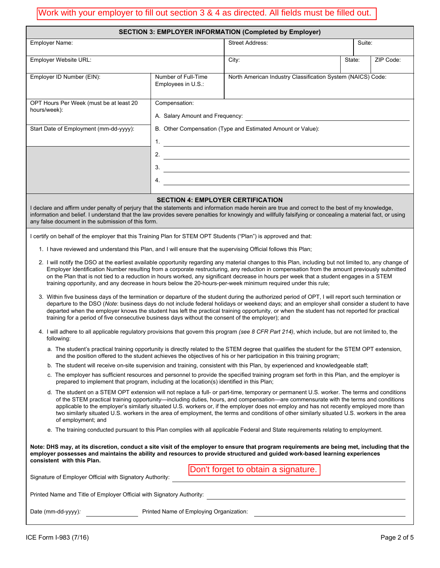| Work with your employer to fill out section 3 & 4 as directed. All fields must be filled out.                                                                                                                                                                                                                                                                                                                                                                                                                                                                                                                                                                                                                                                                                                                                                                                                                                                                                                                                                                                                                                                                                                                                                                                                                                                                                                                                                                                                                                                                                                                                                                                                                                                                                                                                                                                                                                                                                                                                                                                                                                                                                                                                                                                                                                                                                                                                                                                                                                                                                                                                                                                                                                                                                                                                                                                                                                                                                                           |                                                                                                                                                                        |                                                             |        |           |  |  |  |
|---------------------------------------------------------------------------------------------------------------------------------------------------------------------------------------------------------------------------------------------------------------------------------------------------------------------------------------------------------------------------------------------------------------------------------------------------------------------------------------------------------------------------------------------------------------------------------------------------------------------------------------------------------------------------------------------------------------------------------------------------------------------------------------------------------------------------------------------------------------------------------------------------------------------------------------------------------------------------------------------------------------------------------------------------------------------------------------------------------------------------------------------------------------------------------------------------------------------------------------------------------------------------------------------------------------------------------------------------------------------------------------------------------------------------------------------------------------------------------------------------------------------------------------------------------------------------------------------------------------------------------------------------------------------------------------------------------------------------------------------------------------------------------------------------------------------------------------------------------------------------------------------------------------------------------------------------------------------------------------------------------------------------------------------------------------------------------------------------------------------------------------------------------------------------------------------------------------------------------------------------------------------------------------------------------------------------------------------------------------------------------------------------------------------------------------------------------------------------------------------------------------------------------------------------------------------------------------------------------------------------------------------------------------------------------------------------------------------------------------------------------------------------------------------------------------------------------------------------------------------------------------------------------------------------------------------------------------------------------------------------------|------------------------------------------------------------------------------------------------------------------------------------------------------------------------|-------------------------------------------------------------|--------|-----------|--|--|--|
| <b>SECTION 3: EMPLOYER INFORMATION (Completed by Employer)</b>                                                                                                                                                                                                                                                                                                                                                                                                                                                                                                                                                                                                                                                                                                                                                                                                                                                                                                                                                                                                                                                                                                                                                                                                                                                                                                                                                                                                                                                                                                                                                                                                                                                                                                                                                                                                                                                                                                                                                                                                                                                                                                                                                                                                                                                                                                                                                                                                                                                                                                                                                                                                                                                                                                                                                                                                                                                                                                                                          |                                                                                                                                                                        |                                                             |        |           |  |  |  |
| <b>Employer Name:</b>                                                                                                                                                                                                                                                                                                                                                                                                                                                                                                                                                                                                                                                                                                                                                                                                                                                                                                                                                                                                                                                                                                                                                                                                                                                                                                                                                                                                                                                                                                                                                                                                                                                                                                                                                                                                                                                                                                                                                                                                                                                                                                                                                                                                                                                                                                                                                                                                                                                                                                                                                                                                                                                                                                                                                                                                                                                                                                                                                                                   |                                                                                                                                                                        | <b>Street Address:</b>                                      | Suite: |           |  |  |  |
| Employer Website URL:                                                                                                                                                                                                                                                                                                                                                                                                                                                                                                                                                                                                                                                                                                                                                                                                                                                                                                                                                                                                                                                                                                                                                                                                                                                                                                                                                                                                                                                                                                                                                                                                                                                                                                                                                                                                                                                                                                                                                                                                                                                                                                                                                                                                                                                                                                                                                                                                                                                                                                                                                                                                                                                                                                                                                                                                                                                                                                                                                                                   |                                                                                                                                                                        | City:                                                       | State: | ZIP Code: |  |  |  |
| Number of Full-Time<br>Employer ID Number (EIN):<br>Employees in U.S.:                                                                                                                                                                                                                                                                                                                                                                                                                                                                                                                                                                                                                                                                                                                                                                                                                                                                                                                                                                                                                                                                                                                                                                                                                                                                                                                                                                                                                                                                                                                                                                                                                                                                                                                                                                                                                                                                                                                                                                                                                                                                                                                                                                                                                                                                                                                                                                                                                                                                                                                                                                                                                                                                                                                                                                                                                                                                                                                                  |                                                                                                                                                                        | North American Industry Classification System (NAICS) Code: |        |           |  |  |  |
| OPT Hours Per Week (must be at least 20<br>hours/week):<br>Start Date of Employment (mm-dd-yyyy):                                                                                                                                                                                                                                                                                                                                                                                                                                                                                                                                                                                                                                                                                                                                                                                                                                                                                                                                                                                                                                                                                                                                                                                                                                                                                                                                                                                                                                                                                                                                                                                                                                                                                                                                                                                                                                                                                                                                                                                                                                                                                                                                                                                                                                                                                                                                                                                                                                                                                                                                                                                                                                                                                                                                                                                                                                                                                                       | Compensation:<br>A. Salary Amount and Frequency:                                                                                                                       | B. Other Compensation (Type and Estimated Amount or Value): |        |           |  |  |  |
|                                                                                                                                                                                                                                                                                                                                                                                                                                                                                                                                                                                                                                                                                                                                                                                                                                                                                                                                                                                                                                                                                                                                                                                                                                                                                                                                                                                                                                                                                                                                                                                                                                                                                                                                                                                                                                                                                                                                                                                                                                                                                                                                                                                                                                                                                                                                                                                                                                                                                                                                                                                                                                                                                                                                                                                                                                                                                                                                                                                                         | $1_{\cdot}$<br>2. $\qquad \qquad$<br>3.<br><u> 1980 - Johann Barbara, martin amerikan basar dan berasal dan berasal dalam basar dalam basar dalam basar dala</u><br>4. |                                                             |        |           |  |  |  |
| I declare and affirm under penalty of perjury that the statements and information made herein are true and correct to the best of my knowledge,<br>information and belief. I understand that the law provides severe penalties for knowingly and willfully falsifying or concealing a material fact, or using                                                                                                                                                                                                                                                                                                                                                                                                                                                                                                                                                                                                                                                                                                                                                                                                                                                                                                                                                                                                                                                                                                                                                                                                                                                                                                                                                                                                                                                                                                                                                                                                                                                                                                                                                                                                                                                                                                                                                                                                                                                                                                                                                                                                                                                                                                                                                                                                                                                                                                                                                                                                                                                                                           | <b>SECTION 4: EMPLOYER CERTIFICATION</b>                                                                                                                               |                                                             |        |           |  |  |  |
| any false document in the submission of this form.<br>I certify on behalf of the employer that this Training Plan for STEM OPT Students ("Plan") is approved and that:<br>1. I have reviewed and understand this Plan, and I will ensure that the supervising Official follows this Plan;<br>2. I will notify the DSO at the earliest available opportunity regarding any material changes to this Plan, including but not limited to, any change of<br>Employer Identification Number resulting from a corporate restructuring, any reduction in compensation from the amount previously submitted<br>on the Plan that is not tied to a reduction in hours worked, any significant decrease in hours per week that a student engages in a STEM<br>training opportunity, and any decrease in hours below the 20-hours-per-week minimum required under this rule;<br>3. Within five business days of the termination or departure of the student during the authorized period of OPT, I will report such termination or<br>departure to the DSO (Note: business days do not include federal holidays or weekend days; and an employer shall consider a student to have<br>departed when the employer knows the student has left the practical training opportunity, or when the student has not reported for practical<br>training for a period of five consecutive business days without the consent of the employer); and<br>4. I will adhere to all applicable regulatory provisions that govern this program (see 8 CFR Part 214), which include, but are not limited to, the<br>following:<br>a. The student's practical training opportunity is directly related to the STEM degree that qualifies the student for the STEM OPT extension,<br>and the position offered to the student achieves the objectives of his or her participation in this training program;<br>b. The student will receive on-site supervision and training, consistent with this Plan, by experienced and knowledgeable staff;<br>c. The employer has sufficient resources and personnel to provide the specified training program set forth in this Plan, and the employer is<br>prepared to implement that program, including at the location(s) identified in this Plan;<br>d. The student on a STEM OPT extension will not replace a full- or part-time, temporary or permanent U.S. worker. The terms and conditions<br>of the STEM practical training opportunity—including duties, hours, and compensation—are commensurate with the terms and conditions<br>applicable to the employer's similarly situated U.S. workers or, if the employer does not employ and has not recently employed more than<br>two similarly situated U.S. workers in the area of employment, the terms and conditions of other similarly situated U.S. workers in the area<br>of employment; and<br>e. The training conducted pursuant to this Plan complies with all applicable Federal and State requirements relating to employment. |                                                                                                                                                                        |                                                             |        |           |  |  |  |
| Note: DHS may, at its discretion, conduct a site visit of the employer to ensure that program requirements are being met, including that the<br>employer possesses and maintains the ability and resources to provide structured and guided work-based learning experiences<br>consistent with this Plan.                                                                                                                                                                                                                                                                                                                                                                                                                                                                                                                                                                                                                                                                                                                                                                                                                                                                                                                                                                                                                                                                                                                                                                                                                                                                                                                                                                                                                                                                                                                                                                                                                                                                                                                                                                                                                                                                                                                                                                                                                                                                                                                                                                                                                                                                                                                                                                                                                                                                                                                                                                                                                                                                                               |                                                                                                                                                                        | Don't forget to obtain a signature.                         |        |           |  |  |  |

| 2. I will notify the DSO at the earliest available opportunity regarding any material changes to this Plan, including but not limited to, any change of |
|---------------------------------------------------------------------------------------------------------------------------------------------------------|
| Employer Identification Number resulting from a corporate restructuring, any reduction in compensation from the amount previously submitted             |
| on the Plan that is not tied to a reduction in hours worked, any significant decrease in hours per week that a student engages in a STEM                |
| training opportunity, and any decrease in hours below the 20-hours-per-week minimum required under this rule;                                           |

- 3. Within five business days of the termination or departure of the student during the authorized period of OPT, I will report such termination or departure to the DSO (*Note*: business days do not include federal holidays or weekend days; and an employer shall consider a student to have departed when the employer knows the student has left the practical training opportunity, or when the student has not reported for practical training for a period of five consecutive business days without the consent of the employer); and
- 4. I will adhere to all applicable regulatory provisions that govern this program *(see 8 CFR Part 214)*, which include, but are not limited to, the following:
	- a. The student's practical training opportunity is directly related to the STEM degree that qualifies the student for the STEM OPT extension, and the position offered to the student achieves the objectives of his or her participation in this training program;
	- b. The student will receive on-site supervision and training, consistent with this Plan, by experienced and knowledgeable staff;
	- c. The employer has sufficient resources and personnel to provide the specified training program set forth in this Plan, and the employer is prepared to implement that program, including at the location(s) identified in this Plan;
	- d. The student on a STEM OPT extension will not replace a full- or part-time, temporary or permanent U.S. worker. The terms and conditions of the STEM practical training opportunity—including duties, hours, and compensation—are commensurate with the terms and conditions applicable to the employer's similarly situated U.S. workers or, if the employer does not employ and has not recently employed more than two similarly situated U.S. workers in the area of employment, the terms and conditions of other similarly situated U.S. workers in the area of employment; and
	- e. The training conducted pursuant to this Plan complies with all applicable Federal and State requirements relating to employment.

| Printed Name and Title of Employer Official with Signatory Authority: |  |
|-----------------------------------------------------------------------|--|

Date (mm-dd-yyyy): **Printed Name of Employing Organization:** 

Signature of Employer Official with Signatory Authority: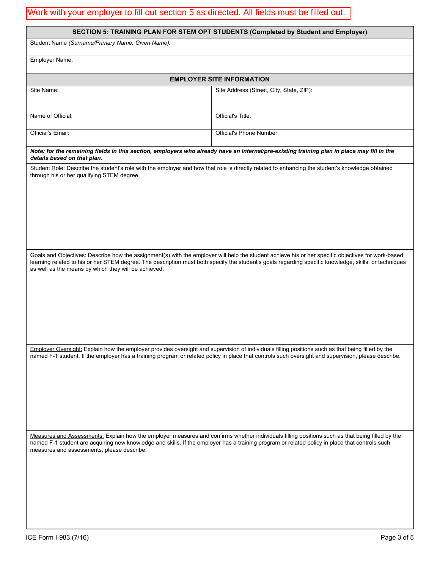# Work with your employer to fill out section 5 as directed. All fields must be filled out.

|                                                      | SECTION 5: TRAINING PLAN FOR STEM OPT STUDENTS (Completed by Student and Employer)                                                                                                                                                                                                                          |  |  |  |  |  |  |
|------------------------------------------------------|-------------------------------------------------------------------------------------------------------------------------------------------------------------------------------------------------------------------------------------------------------------------------------------------------------------|--|--|--|--|--|--|
| Student Name (Surname/Primary Name, Given Name):     |                                                                                                                                                                                                                                                                                                             |  |  |  |  |  |  |
|                                                      |                                                                                                                                                                                                                                                                                                             |  |  |  |  |  |  |
| Employer Name:                                       |                                                                                                                                                                                                                                                                                                             |  |  |  |  |  |  |
|                                                      | <b>EMPLOYER SITE INFORMATION</b>                                                                                                                                                                                                                                                                            |  |  |  |  |  |  |
| Site Name:                                           | Site Address (Street, City, State, ZIP):                                                                                                                                                                                                                                                                    |  |  |  |  |  |  |
| Name of Official:                                    | Official's Title:                                                                                                                                                                                                                                                                                           |  |  |  |  |  |  |
| Official's Email:                                    | Official's Phone Number:                                                                                                                                                                                                                                                                                    |  |  |  |  |  |  |
| details based on that plan.                          | Note: for the remaining fields in this section, employers who already have an internal/pre-existing training plan in place may fill in the                                                                                                                                                                  |  |  |  |  |  |  |
| through his or her qualifying STEM degree.           | Student Role: Describe the student's role with the employer and how that role is directly related to enhancing the student's knowledge obtained                                                                                                                                                             |  |  |  |  |  |  |
| as well as the means by which they will be achieved. | Goals and Objectives: Describe how the assignment(s) with the employer will help the student achieve his or her specific objectives for work-based<br>learning related to his or her STEM degree. The description must both specify the student's goals regarding specific knowledge, skills, or techniques |  |  |  |  |  |  |
|                                                      | Employer Oversight: Explain how the employer provides oversight and supervision of individuals filling positions such as that being filled by the<br>named F-1 student. If the employer has a training program or related policy in place that controls such oversight and supervision, please describe.    |  |  |  |  |  |  |
| measures and assessments, please describe.           | Measures and Assessments: Explain how the employer measures and confirms whether individuals filling positions such as that being filled by the<br>named F-1 student are acquiring new knowledge and skills. If the employer has a training program or related policy in place that controls such           |  |  |  |  |  |  |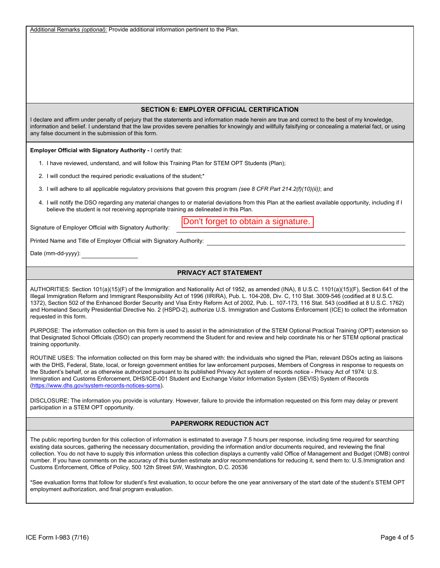Additional Remarks *(optional):* Provide additional information pertinent to the Plan.

### **SECTION 6: EMPLOYER OFFICIAL CERTIFICATION**

I declare and affirm under penalty of perjury that the statements and information made herein are true and correct to the best of my knowledge, information and belief. I understand that the law provides severe penalties for knowingly and willfully falsifying or concealing a material fact, or using any false document in the submission of this form.

**Employer Official with Signatory Authority -** I certify that:

- 1. I have reviewed, understand, and will follow this Training Plan for STEM OPT Students (Plan);
- 2. I will conduct the required periodic evaluations of the student;\*
- 3. I will adhere to all applicable regulatory provisions that govern this program *(see 8 CFR Part 214.2(f)(10)(ii))*; and
- 4. I will notify the DSO regarding any material changes to or material deviations from this Plan at the earliest available opportunity, including if I believe the student is not receiving appropriate training as delineated in this Plan.

Signature of Employer Official with Signatory Authority:

Don't forget to obtain a signature.

Printed Name and Title of Employer Official with Signatory Authority:

Date (mm-dd-yyyy):

## **PRIVACY ACT STATEMENT**

AUTHORITIES: Section 101(a)(15)(F) of the Immigration and Nationality Act of 1952, as amended (INA), 8 U.S.C. 1101(a)(15)(F), Section 641 of the Illegal Immigration Reform and Immigrant Responsibility Act of 1996 (IIRIRA), Pub. L. 104-208, Div. C, 110 Stat. 3009-546 (codified at 8 U.S.C. 1372), Section 502 of the Enhanced Border Security and Visa Entry Reform Act of 2002, Pub. L. 107-173, 116 Stat. 543 (codified at 8 U.S.C. 1762) and Homeland Security Presidential Directive No. 2 (HSPD-2), authorize U.S. Immigration and Customs Enforcement (ICE) to collect the information requested in this form.

PURPOSE: The information collection on this form is used to assist in the administration of the STEM Optional Practical Training (OPT) extension so that Designated School Officials (DSO) can properly recommend the Student for and review and help coordinate his or her STEM optional practical training opportunity.

ROUTINE USES: The information collected on this form may be shared with: the individuals who signed the Plan, relevant DSOs acting as liaisons with the DHS, Federal, State, local, or foreign government entities for law enforcement purposes, Members of Congress in response to requests on the Student's behalf, or as otherwise authorized pursuant to its published Privacy Act system of records notice - Privacy Act of 1974: U.S. Immigration and Customs Enforcement, DHS/ICE-001 Student and Exchange Visitor Information System (SEVIS) System of Records (https://www.dhs.gov/system-records-notices-sorns).

DISCLOSURE: The information you provide is voluntary. However, failure to provide the information requested on this form may delay or prevent participation in a STEM OPT opportunity.

## **PAPERWORK REDUCTION ACT**

The public reporting burden for this collection of information is estimated to average 7.5 hours per response, including time required for searching existing data sources, gathering the necessary documentation, providing the information and/or documents required, and reviewing the final collection. You do not have to supply this information unless this collection displays a currently valid Office of Management and Budget (OMB) control number. If you have comments on the accuracy of this burden estimate and/or recommendations for reducing it, send them to: U.S.Immigration and Customs Enforcement, Office of Policy, 500 12th Street SW, Washington, D.C. 20536

\*See evaluation forms that follow for student's first evaluation, to occur before the one year anniversary of the start date of the student's STEM OPT employment authorization, and final program evaluation.